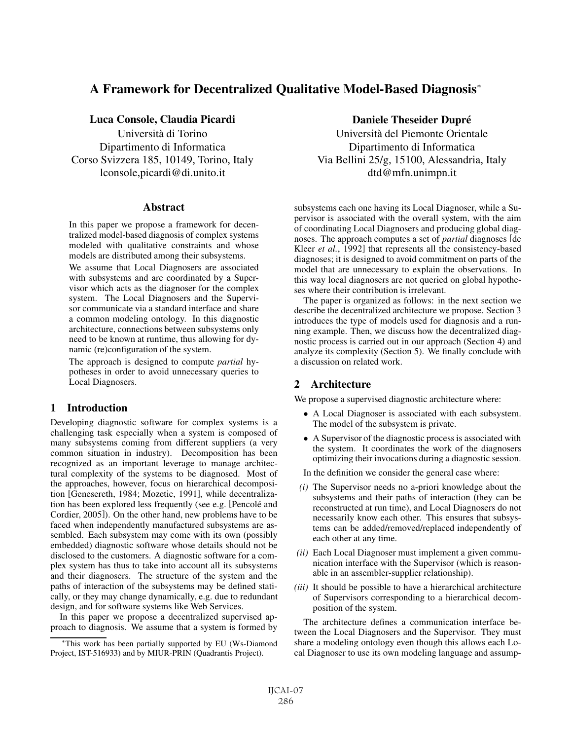# A Framework for Decentralized Qualitative Model-Based Diagnosis<sup>∗</sup>

## Luca Console, Claudia Picardi **Daniele Claudia Daniele Theseider Dupré**

Università di Torino Dipartimento di Informatica Corso Svizzera 185, 10149, Torino, Italy lconsole,picardi@di.unito.it

#### **Abstract**

In this paper we propose a framework for decentralized model-based diagnosis of complex systems modeled with qualitative constraints and whose models are distributed among their subsystems.

We assume that Local Diagnosers are associated with subsystems and are coordinated by a Supervisor which acts as the diagnoser for the complex system. The Local Diagnosers and the Supervisor communicate via a standard interface and share a common modeling ontology. In this diagnostic architecture, connections between subsystems only need to be known at runtime, thus allowing for dynamic (re)configuration of the system.

The approach is designed to compute *partial* hypotheses in order to avoid unnecessary queries to Local Diagnosers.

## 1 Introduction

Developing diagnostic software for complex systems is a challenging task especially when a system is composed of many subsystems coming from different suppliers (a very common situation in industry). Decomposition has been recognized as an important leverage to manage architectural complexity of the systems to be diagnosed. Most of the approaches, however, focus on hierarchical decomposition [Genesereth, 1984; Mozetic, 1991], while decentralization has been explored less frequently (see e.g. [Pencolé and Cordier, 2005]). On the other hand, new problems have to be faced when independently manufactured subsystems are assembled. Each subsystem may come with its own (possibly embedded) diagnostic software whose details should not be disclosed to the customers. A diagnostic software for a complex system has thus to take into account all its subsystems and their diagnosers. The structure of the system and the paths of interaction of the subsystems may be defined statically, or they may change dynamically, e.g. due to redundant design, and for software systems like Web Services.

In this paper we propose a decentralized supervised approach to diagnosis. We assume that a system is formed by

Università del Piemonte Orientale Dipartimento di Informatica Via Bellini 25/g, 15100, Alessandria, Italy dtd@mfn.unimpn.it

subsystems each one having its Local Diagnoser, while a Supervisor is associated with the overall system, with the aim of coordinating Local Diagnosers and producing global diagnoses. The approach computes a set of *partial* diagnoses [de Kleer *et al.*, 1992] that represents all the consistency-based diagnoses; it is designed to avoid commitment on parts of the model that are unnecessary to explain the observations. In this way local diagnosers are not queried on global hypotheses where their contribution is irrelevant.

The paper is organized as follows: in the next section we describe the decentralized architecture we propose. Section 3 introduces the type of models used for diagnosis and a running example. Then, we discuss how the decentralized diagnostic process is carried out in our approach (Section 4) and analyze its complexity (Section 5). We finally conclude with a discussion on related work.

## 2 Architecture

We propose a supervised diagnostic architecture where:

- A Local Diagnoser is associated with each subsystem. The model of the subsystem is private.
- A Supervisor of the diagnostic process is associated with the system. It coordinates the work of the diagnosers optimizing their invocations during a diagnostic session.
- In the definition we consider the general case where:
- *(i)* The Supervisor needs no a-priori knowledge about the subsystems and their paths of interaction (they can be reconstructed at run time), and Local Diagnosers do not necessarily know each other. This ensures that subsystems can be added/removed/replaced independently of each other at any time.
- *(ii)* Each Local Diagnoser must implement a given communication interface with the Supervisor (which is reasonable in an assembler-supplier relationship).
- *(iii)* It should be possible to have a hierarchical architecture of Supervisors corresponding to a hierarchical decomposition of the system.

The architecture defines a communication interface between the Local Diagnosers and the Supervisor. They must share a modeling ontology even though this allows each Local Diagnoser to use its own modeling language and assump-

<sup>∗</sup>This work has been partially supported by EU (Ws-Diamond Project, IST-516933) and by MIUR-PRIN (Quadrantis Project).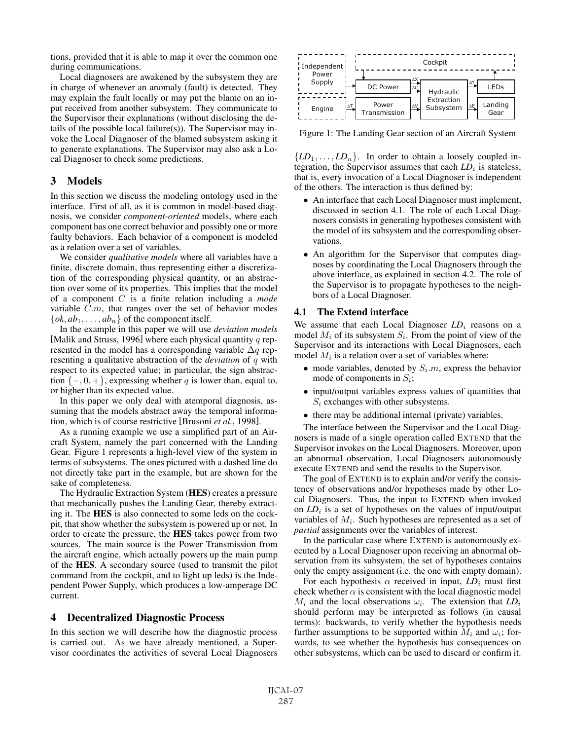tions, provided that it is able to map it over the common one during communications.

Local diagnosers are awakened by the subsystem they are in charge of whenever an anomaly (fault) is detected. They may explain the fault locally or may put the blame on an input received from another subsystem. They communicate to the Supervisor their explanations (without disclosing the details of the possible local failure(s)). The Supervisor may invoke the Local Diagnoser of the blamed subsystem asking it to generate explanations. The Supervisor may also ask a Local Diagnoser to check some predictions.

### 3 Models

In this section we discuss the modeling ontology used in the interface. First of all, as it is common in model-based diagnosis, we consider *component-oriented* models, where each component has one correct behavior and possibly one or more faulty behaviors. Each behavior of a component is modeled as a relation over a set of variables.

We consider *qualitative models* where all variables have a finite, discrete domain, thus representing either a discretization of the corresponding physical quantity, or an abstraction over some of its properties. This implies that the model of a component C is a finite relation including a *mode* variable C.m, that ranges over the set of behavior modes  $\{ok, ab_1, \ldots, ab_n\}$  of the component itself.

In the example in this paper we will use *deviation models* [Malik and Struss, 1996] where each physical quantity  $q$  represented in the model has a corresponding variable  $\Delta q$  representing a qualitative abstraction of the *deviation* of q with respect to its expected value; in particular, the sign abstraction  $\{-, 0, +\}$ , expressing whether q is lower than, equal to, or higher than its expected value.

In this paper we only deal with atemporal diagnosis, assuming that the models abstract away the temporal information, which is of course restrictive [Brusoni *et al.*, 1998].

As a running example we use a simplified part of an Aircraft System, namely the part concerned with the Landing Gear. Figure 1 represents a high-level view of the system in terms of subsystems. The ones pictured with a dashed line do not directly take part in the example, but are shown for the sake of completeness.

The Hydraulic Extraction System (HES) creates a pressure that mechanically pushes the Landing Gear, thereby extracting it. The HES is also connected to some leds on the cockpit, that show whether the subsystem is powered up or not. In order to create the pressure, the HES takes power from two sources. The main source is the Power Transmission from the aircraft engine, which actually powers up the main pump of the HES. A secondary source (used to transmit the pilot command from the cockpit, and to light up leds) is the Independent Power Supply, which produces a low-amperage DC current.

#### 4 Decentralized Diagnostic Process

In this section we will describe how the diagnostic process is carried out. As we have already mentioned, a Supervisor coordinates the activities of several Local Diagnosers



Figure 1: The Landing Gear section of an Aircraft System

 ${LD_1, \ldots, LD_n}$ . In order to obtain a loosely coupled integration, the Supervisor assumes that each  $LD_i$  is stateless, that is, every invocation of a Local Diagnoser is independent of the others. The interaction is thus defined by:

- An interface that each Local Diagnoser must implement, discussed in section 4.1. The role of each Local Diagnosers consists in generating hypotheses consistent with the model of its subsystem and the corresponding observations.
- An algorithm for the Supervisor that computes diagnoses by coordinating the Local Diagnosers through the above interface, as explained in section 4.2. The role of the Supervisor is to propagate hypotheses to the neighbors of a Local Diagnoser.

#### 4.1 The Extend interface

We assume that each Local Diagnoser  $LD_i$  reasons on a model  $M_i$  of its subsystem  $S_i$ . From the point of view of the Supervisor and its interactions with Local Diagnosers, each model  $M_i$  is a relation over a set of variables where:

- mode variables, denoted by  $S_i$ .m, express the behavior mode of components in  $S_i$ ;
- input/output variables express values of quantities that  $S_i$  exchanges with other subsystems.
- there may be additional internal (private) variables.

The interface between the Supervisor and the Local Diagnosers is made of a single operation called EXTEND that the Supervisor invokes on the Local Diagnosers. Moreover, upon an abnormal observation, Local Diagnosers autonomously execute EXTEND and send the results to the Supervisor.

The goal of EXTEND is to explain and/or verify the consistency of observations and/or hypotheses made by other Local Diagnosers. Thus, the input to EXTEND when invoked on  $LD_i$  is a set of hypotheses on the values of input/output variables of  $M_i$ . Such hypotheses are represented as a set of *partial* assignments over the variables of interest.

In the particular case where EXTEND is autonomously executed by a Local Diagnoser upon receiving an abnormal observation from its subsystem, the set of hypotheses contains only the empty assignment (i.e. the one with empty domain).

For each hypothesis  $\alpha$  received in input,  $LD_i$  must first check whether  $\alpha$  is consistent with the local diagnostic model  $M_i$  and the local observations  $\omega_i$ . The extension that  $LD_i$ should perform may be interpreted as follows (in causal terms): backwards, to verify whether the hypothesis needs further assumptions to be supported within  $M_i$  and  $\omega_i$ ; forwards, to see whether the hypothesis has consequences on other subsystems, which can be used to discard or confirm it.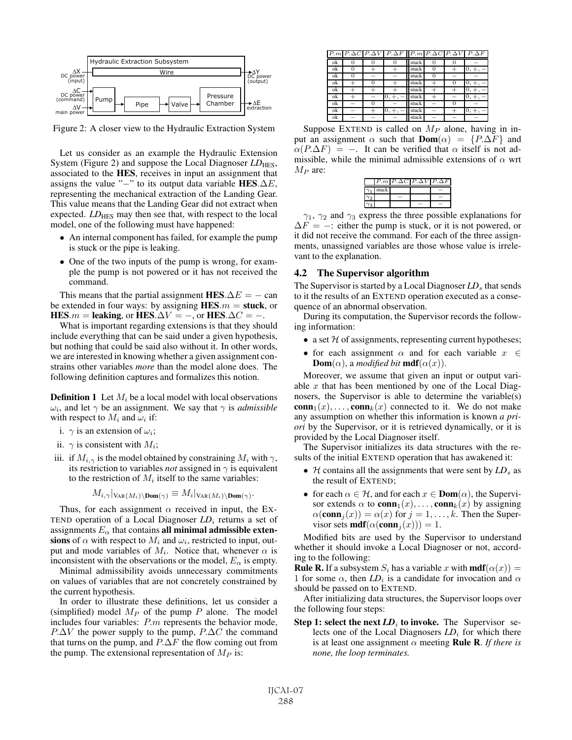

Figure 2: A closer view to the Hydraulic Extraction System

Let us consider as an example the Hydraulic Extension System (Figure 2) and suppose the Local Diagnoser *LD*<sub>HES</sub>, associated to the HES, receives in input an assignment that assigns the value "−" to its output data variable HES. $\Delta E$ , representing the mechanical extraction of the Landing Gear. This value means that the Landing Gear did not extract when expected. *LD*<sub>HES</sub> may then see that, with respect to the local model, one of the following must have happened:

- An internal component has failed, for example the pump is stuck or the pipe is leaking.
- One of the two inputs of the pump is wrong, for example the pump is not powered or it has not received the command.

This means that the partial assignment HES. $\Delta E = -$  can be extended in four ways: by assigning  $HES.m = stuck$ , or HES.m = leaking, or HES. $\Delta V = -$ , or HES. $\Delta C = -$ .

What is important regarding extensions is that they should include everything that can be said under a given hypothesis, but nothing that could be said also without it. In other words, we are interested in knowing whether a given assignment constrains other variables *more* than the model alone does. The following definition captures and formalizes this notion.

**Definition 1** Let  $M_i$  be a local model with local observations  $\omega_i$ , and let  $\gamma$  be an assignment. We say that  $\gamma$  is *admissible* with respect to  $M_i$  and  $\omega_i$  if:

- i.  $\gamma$  is an extension of  $\omega_i$ ;
- ii.  $\gamma$  is consistent with  $M_i$ ;
- iii. if  $M_{i,\gamma}$  is the model obtained by constraining  $M_i$  with  $\gamma$ , its restriction to variables *not* assigned in  $\gamma$  is equivalent to the restriction of  $M_i$  itself to the same variables:

$$
M_{i,\gamma}|_{\text{VAR}(M_i)\setminus \text{Dom}(\gamma)} \equiv M_i|_{\text{VAR}(M_i)\setminus \text{Dom}(\gamma)}.
$$

Thus, for each assignment  $\alpha$  received in input, the Ex-TEND operation of a Local Diagnoser  $LD_i$  returns a set of assignments  $E_{\alpha}$  that contains all minimal admissible extensions of  $\alpha$  with respect to  $M_i$  and  $\omega_i$ , restricted to input, output and mode variables of  $M_i$ . Notice that, whenever  $\alpha$  is inconsistent with the observations or the model,  $E_{\alpha}$  is empty.

Minimal admissibility avoids unnecessary commitments on values of variables that are not concretely constrained by the current hypothesis.

In order to illustrate these definitions, let us consider a (simplified) model  $M_P$  of the pump  $P$  alone. The model includes four variables: P.m represents the behavior mode,  $P.\Delta V$  the power supply to the pump,  $P.\Delta C$  the command that turns on the pump, and  $P.\Delta F$  the flow coming out from the pump. The extensional representation of  $M_P$  is:

|    |   |   | $P.m \mid P.\Delta C \mid P.\Delta V \mid P.\Delta F \mid P.m \mid P.\Delta C \mid P.\Delta V \mid P.\Delta F$ |       |   |        |              |
|----|---|---|----------------------------------------------------------------------------------------------------------------|-------|---|--------|--------------|
| ok | 0 |   |                                                                                                                | stuck |   |        |              |
| ok |   |   |                                                                                                                | stuck |   |        |              |
| ok | 0 | - |                                                                                                                | stuck |   |        |              |
| ok |   |   |                                                                                                                | stuck |   |        | $+ \cdot$    |
| ok |   |   |                                                                                                                | stuck |   |        |              |
| ok |   |   | 0,<br>$+$ ,                                                                                                    | stuck |   |        | 0.<br>$+ \,$ |
| ok | ٠ |   |                                                                                                                | stuck |   |        |              |
| ok | - |   |                                                                                                                | stuck | - | $\div$ |              |
| ok | - |   |                                                                                                                | stuck |   |        |              |

Suppose EXTEND is called on  $M_P$  alone, having in input an assignment  $\alpha$  such that **Dom**( $\alpha$ ) = {P. $\Delta F$ } and  $\alpha(P.\Delta F) = -$ . It can be verified that  $\alpha$  itself is not admissible, while the minimal admissible extensions of  $\alpha$  wrt  $M_P$  are:

|            |                  | $P.m$ $P \Delta C$ $P \Delta V$ $P \Delta F$ |  |
|------------|------------------|----------------------------------------------|--|
|            | $\gamma_1$ stuck |                                              |  |
| $\gamma_2$ |                  |                                              |  |
| $\gamma_3$ |                  |                                              |  |

 $\gamma_1$ ,  $\gamma_2$  and  $\gamma_3$  express the three possible explanations for  $\Delta F = -$ : either the pump is stuck, or it is not powered, or it did not receive the command. For each of the three assignments, unassigned variables are those whose value is irrelevant to the explanation.

#### 4.2 The Supervisor algorithm

The Supervisor is started by a Local Diagnoser *LD<sub>s</sub>* that sends to it the results of an EXTEND operation executed as a consequence of an abnormal observation.

During its computation, the Supervisor records the following information:

- a set  $H$  of assignments, representing current hypotheses;
- for each assignment  $\alpha$  and for each variable  $x \in \mathbb{R}$ **Dom**( $\alpha$ ), a *modified bit* **mdf**( $\alpha(x)$ ).

Moreover, we assume that given an input or output variable  $x$  that has been mentioned by one of the Local Diagnosers, the Supervisor is able to determine the variable(s)  $\textbf{conn}_1(x), \ldots, \textbf{conn}_k(x)$  connected to it. We do not make any assumption on whether this information is known *a priori* by the Supervisor, or it is retrieved dynamically, or it is provided by the Local Diagnoser itself.

The Supervisor initializes its data structures with the results of the initial EXTEND operation that has awakened it:

- $\mathcal H$  contains all the assignments that were sent by  $LD_s$  as the result of EXTEND;
- for each  $\alpha \in \mathcal{H}$ , and for each  $x \in \text{Dom}(\alpha)$ , the Supervisor extends  $\alpha$  to **conn**<sub>1</sub> $(x)$ ,..., **conn**<sub>k</sub> $(x)$  by assigning  $\alpha(\text{conn}_i(x)) = \alpha(x)$  for  $j = 1, \ldots, k$ . Then the Supervisor sets **mdf**( $\alpha$ (conn<sub>j</sub> $(x)$ )) = 1.

Modified bits are used by the Supervisor to understand whether it should invoke a Local Diagnoser or not, according to the following:

**Rule R.** If a subsystem  $S_i$  has a variable x with **mdf**( $\alpha(x)$ ) = 1 for some  $\alpha$ , then  $LD_i$  is a candidate for invocation and  $\alpha$ should be passed on to EXTEND.

After initializing data structures, the Supervisor loops over the following four steps:

**Step 1: select the next**  $LD_i$  **to invoke.** The Supervisor selects one of the Local Diagnosers *LD<sub>i</sub>* for which there is at least one assignment  $\alpha$  meeting **Rule R**. *If there is none, the loop terminates.*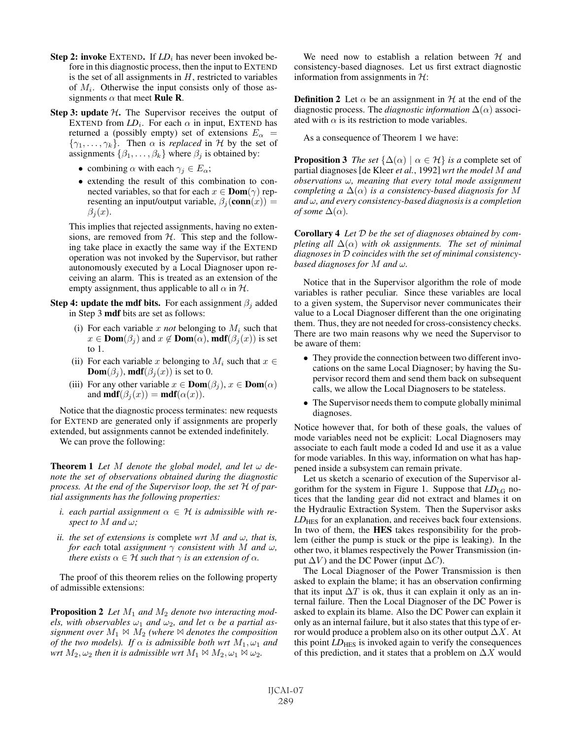- Step 2: invoke EXTEND. If  $LD_i$  has never been invoked before in this diagnostic process, then the input to EXTEND is the set of all assignments in  $H$ , restricted to variables of  $M_i$ . Otherwise the input consists only of those assignments  $\alpha$  that meet **Rule R**.
- Step 3: update  $H$ . The Supervisor receives the output of EXTEND from  $LD_i$ . For each  $\alpha$  in input, EXTEND has returned a (possibly empty) set of extensions  $E_{\alpha}$  =  $\{\gamma_1,\ldots,\gamma_k\}$ . Then  $\alpha$  is *replaced* in H by the set of assignments  $\{\beta_1, \ldots, \beta_k\}$  where  $\beta_j$  is obtained by:
	- combining  $\alpha$  with each  $\gamma_j \in E_\alpha$ ;
	- extending the result of this combination to connected variables, so that for each  $x \in \text{Dom}(\gamma)$  representing an input/output variable,  $\beta_i$  (conn $(x)$ ) =  $\beta_i(x)$ .

This implies that rejected assignments, having no extensions, are removed from  $H$ . This step and the following take place in exactly the same way if the EXTEND operation was not invoked by the Supervisor, but rather autonomously executed by a Local Diagnoser upon receiving an alarm. This is treated as an extension of the empty assignment, thus applicable to all  $\alpha$  in  $\mathcal{H}$ .

Step 4: update the mdf bits. For each assignment  $\beta_i$  added in Step 3 mdf bits are set as follows:

- (i) For each variable  $x$  *not* belonging to  $M_i$  such that  $x \in \text{Dom}(\beta_j)$  and  $x \notin \text{Dom}(\alpha)$ , mdf $(\beta_j(x))$  is set to 1.
- (ii) For each variable x belonging to  $M_i$  such that  $x \in$ **Dom** $(\beta_i)$ , **mdf** $(\beta_i(x))$  is set to 0.
- (iii) For any other variable  $x \in \text{Dom}(\beta_i)$ ,  $x \in \text{Dom}(\alpha)$ and **mdf**( $\beta_i(x)$ ) = **mdf**( $\alpha(x)$ ).

Notice that the diagnostic process terminates: new requests for EXTEND are generated only if assignments are properly extended, but assignments cannot be extended indefinitely.

We can prove the following:

**Theorem 1** Let M denote the global model, and let  $\omega$  de*note the set of observations obtained during the diagnostic process. At the end of the Supervisor loop, the set* H *of partial assignments has the following properties:*

- *i.* each partial assignment  $\alpha \in \mathcal{H}$  is admissible with re*spect to*  $M$  *and*  $\omega$ *;*
- *ii. the set of extensions is complete wrt* M *and*  $\omega$ , *that is, for each* total *assignment*  $\gamma$  *consistent with* M *and*  $\omega$ , *there exists*  $\alpha \in \mathcal{H}$  *such that*  $\gamma$  *is an extension of*  $\alpha$ *.*

The proof of this theorem relies on the following property of admissible extensions:

Proposition 2 *Let* M<sup>1</sup> *and* M<sup>2</sup> *denote two interacting models, with observables*  $\omega_1$  *and*  $\omega_2$ *, and let*  $\alpha$  *be a partial assignment over*  $M_1 \bowtie M_2$  *(where*  $\bowtie$  *denotes the composition of the two models). If*  $\alpha$  *is admissible both wrt*  $M_1, \omega_1$  *and wrt*  $M_2, \omega_2$  *then it is admissible wrt*  $M_1 \bowtie M_2, \omega_1 \bowtie \omega_2$ *.* 

We need now to establish a relation between  $H$  and consistency-based diagnoses. Let us first extract diagnostic information from assignments in  $H$ :

**Definition 2** Let  $\alpha$  be an assignment in H at the end of the diagnostic process. The *diagnostic information*  $\Delta(\alpha)$  associated with  $\alpha$  is its restriction to mode variables.

As a consequence of Theorem 1 we have:

**Proposition 3** *The set*  $\{\Delta(\alpha) | \alpha \in \mathcal{H}\}\$ *is a* complete set of partial diagnoses [de Kleer *et al.*, 1992] *wrt the model* M *and observations* ω*, meaning that every total mode assignment completing a*  $\Delta(\alpha)$  *is a consistency-based diagnosis for* M *and* ω*, and every consistency-based diagnosis is a completion of some*  $\Delta(\alpha)$ *.* 

Corollary 4 *Let* D *be the set of diagnoses obtained by completing all*  $\Delta(\alpha)$  *with ok assignments. The set of minimal diagnoses in* D *coincides with the set of minimal consistencybased diagnoses for* M *and* ω*.*

Notice that in the Supervisor algorithm the role of mode variables is rather peculiar. Since these variables are local to a given system, the Supervisor never communicates their value to a Local Diagnoser different than the one originating them. Thus, they are not needed for cross-consistency checks. There are two main reasons why we need the Supervisor to be aware of them:

- They provide the connection between two different invocations on the same Local Diagnoser; by having the Supervisor record them and send them back on subsequent calls, we allow the Local Diagnosers to be stateless.
- The Supervisor needs them to compute globally minimal diagnoses.

Notice however that, for both of these goals, the values of mode variables need not be explicit: Local Diagnosers may associate to each fault mode a coded Id and use it as a value for mode variables. In this way, information on what has happened inside a subsystem can remain private.

Let us sketch a scenario of execution of the Supervisor algorithm for the system in Figure 1. Suppose that *LD*LG notices that the landing gear did not extract and blames it on the Hydraulic Extraction System. Then the Supervisor asks *LD*<sub>HES</sub> for an explanation, and receives back four extensions. In two of them, the HES takes responsibility for the problem (either the pump is stuck or the pipe is leaking). In the other two, it blames respectively the Power Transmission (input  $\Delta V$ ) and the DC Power (input  $\Delta C$ ).

The Local Diagnoser of the Power Transmission is then asked to explain the blame; it has an observation confirming that its input  $\Delta T$  is ok, thus it can explain it only as an internal failure. Then the Local Diagnoser of the DC Power is asked to explain its blame. Also the DC Power can explain it only as an internal failure, but it also states that this type of error would produce a problem also on its other output  $\Delta X$ . At this point *LD*<sub>HES</sub> is invoked again to verify the consequences of this prediction, and it states that a problem on  $\Delta X$  would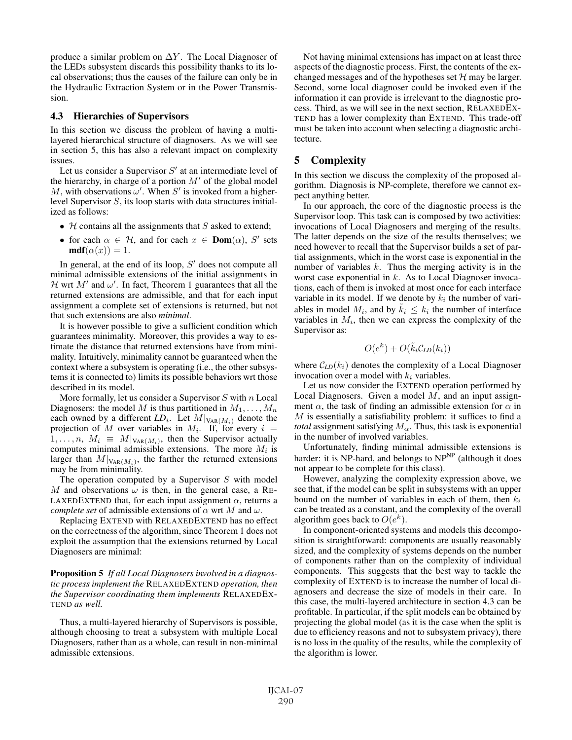produce a similar problem on  $\Delta Y$ . The Local Diagnoser of the LEDs subsystem discards this possibility thanks to its local observations; thus the causes of the failure can only be in the Hydraulic Extraction System or in the Power Transmission.

#### 4.3 Hierarchies of Supervisors

In this section we discuss the problem of having a multilayered hierarchical structure of diagnosers. As we will see in section 5, this has also a relevant impact on complexity issues.

Let us consider a Supervisor  $S'$  at an intermediate level of the hierarchy, in charge of a portion  $M'$  of the global model M, with observations  $\omega'$ . When S' is invoked from a higherlevel Supervisor S, its loop starts with data structures initialized as follows:

- $H$  contains all the assignments that S asked to extend;
- for each  $\alpha \in \mathcal{H}$ , and for each  $x \in \text{Dom}(\alpha)$ , S' sets  $\textbf{mdf}(\alpha(x)) = 1.$

In general, at the end of its loop,  $S'$  does not compute all minimal admissible extensions of the initial assignments in H wrt  $M'$  and  $\omega'$ . In fact, Theorem 1 guarantees that all the returned extensions are admissible, and that for each input assignment a complete set of extensions is returned, but not that such extensions are also *minimal*.

It is however possible to give a sufficient condition which guarantees minimality. Moreover, this provides a way to estimate the distance that returned extensions have from minimality. Intuitively, minimality cannot be guaranteed when the context where a subsystem is operating (i.e., the other subsystems it is connected to) limits its possible behaviors wrt those described in its model.

More formally, let us consider a Supervisor  $S$  with  $n$  Local Diagnosers: the model M is thus partitioned in  $M_1, \ldots, M_n$ each owned by a different  $LD_i$ . Let  $M|_{\text{VAR}(M_i)}$  denote the projection of M over variables in  $M_i$ . If, for every  $i =$  $1, \ldots, n, M_i \equiv M|_{\text{VAR}(M_i)}$ , then the Supervisor actually computes minimal admissible extensions. The more  $M_i$  is larger than  $M|_{\text{VAR}(M_i)}$ , the farther the returned extensions may be from minimality.

The operation computed by a Supervisor  $S$  with model M and observations  $\omega$  is then, in the general case, a RE-LAXEDEXTEND that, for each input assignment  $\alpha$ , returns a *complete set* of admissible extensions of  $\alpha$  wrt M and  $\omega$ .

Replacing EXTEND with RELAXEDEXTEND has no effect on the correctness of the algorithm, since Theorem 1 does not exploit the assumption that the extensions returned by Local Diagnosers are minimal:

Proposition 5 *If all Local Diagnosers involved in a diagnostic process implement the* RELAXEDEXTEND *operation, then the Supervisor coordinating them implements* RELAXEDEX-TEND *as well.*

Thus, a multi-layered hierarchy of Supervisors is possible, although choosing to treat a subsystem with multiple Local Diagnosers, rather than as a whole, can result in non-minimal admissible extensions.

Not having minimal extensions has impact on at least three aspects of the diagnostic process. First, the contents of the exchanged messages and of the hypotheses set  $H$  may be larger. Second, some local diagnoser could be invoked even if the information it can provide is irrelevant to the diagnostic process. Third, as we will see in the next section, RELAXEDEX-TEND has a lower complexity than EXTEND. This trade-off must be taken into account when selecting a diagnostic architecture.

## 5 Complexity

In this section we discuss the complexity of the proposed algorithm. Diagnosis is NP-complete, therefore we cannot expect anything better.

In our approach, the core of the diagnostic process is the Supervisor loop. This task can is composed by two activities: invocations of Local Diagnosers and merging of the results. The latter depends on the size of the results themselves; we need however to recall that the Supervisor builds a set of partial assignments, which in the worst case is exponential in the number of variables  $k$ . Thus the merging activity is in the worst case exponential in  $k$ . As to Local Diagnoser invocations, each of them is invoked at most once for each interface variable in its model. If we denote by  $k_i$  the number of variables in model  $M_i$ , and by  $\tilde{k}_i \leq k_i$  the number of interface variables in  $M_i$ , then we can express the complexity of the Supervisor as:

$$
O(e^k) + O(\tilde{k}_i C_{LD}(k_i))
$$

where  $\mathcal{C}_{LD}(k_i)$  denotes the complexity of a Local Diagnoser invocation over a model with  $k_i$  variables.

Let us now consider the EXTEND operation performed by Local Diagnosers. Given a model  $M$ , and an input assignment  $\alpha$ , the task of finding an admissible extension for  $\alpha$  in  $M$  is essentially a satisfiability problem: it suffices to find a *total* assignment satisfying  $M_{\alpha}$ . Thus, this task is exponential in the number of involved variables.

Unfortunately, finding minimal admissible extensions is harder: it is NP-hard, and belongs to  $NP<sup>NP</sup>$  (although it does not appear to be complete for this class).

However, analyzing the complexity expression above, we see that, if the model can be split in subsystems with an upper bound on the number of variables in each of them, then  $k_i$ can be treated as a constant, and the complexity of the overall algorithm goes back to  $O(e^k)$ .

In component-oriented systems and models this decomposition is straightforward: components are usually reasonably sized, and the complexity of systems depends on the number of components rather than on the complexity of individual components. This suggests that the best way to tackle the complexity of EXTEND is to increase the number of local diagnosers and decrease the size of models in their care. In this case, the multi-layered architecture in section 4.3 can be profitable. In particular, if the split models can be obtained by projecting the global model (as it is the case when the split is due to efficiency reasons and not to subsystem privacy), there is no loss in the quality of the results, while the complexity of the algorithm is lower.